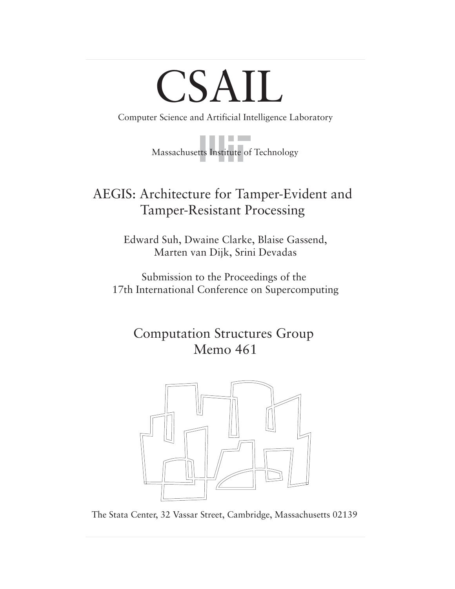# CSAIL

Computer Science and Artificial Intelligence Laboratory

Massachusetts Institute of Technology

# AEGIS: Architecture for Tamper-Evident and Tamper-Resistant Processing

Edward Suh, Dwaine Clarke, Blaise Gassend, Marten van Dijk, Srini Devadas

Submission to the Proceedings of the 17th International Conference on Supercomputing

Computation Structures Group Memo 461



The Stata Center, 32 Vassar Street, Cambridge, Massachusetts 02139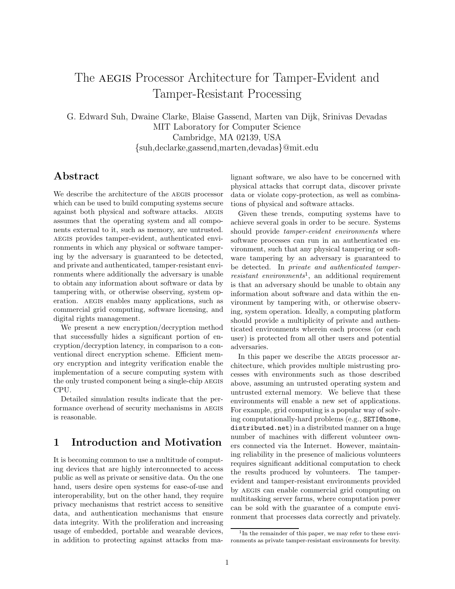# The AEGIS Processor Architecture for Tamper-Evident and Tamper-Resistant Processing

G. Edward Suh, Dwaine Clarke, Blaise Gassend, Marten van Dijk, Srinivas Devadas MIT Laboratory for Computer Science Cambridge, MA 02139, USA {suh,declarke,gassend,marten,devadas}@mit.edu

# Abstract

We describe the architecture of the AEGIS processor which can be used to build computing systems secure against both physical and software attacks. aegis assumes that the operating system and all components external to it, such as memory, are untrusted. AEGIS provides tamper-evident, authenticated environments in which any physical or software tampering by the adversary is guaranteed to be detected, and private and authenticated, tamper-resistant environments where additionally the adversary is unable to obtain any information about software or data by tampering with, or otherwise observing, system operation. aegis enables many applications, such as commercial grid computing, software licensing, and digital rights management.

We present a new encryption/decryption method that successfully hides a significant portion of encryption/decryption latency, in comparison to a conventional direct encryption scheme. Efficient memory encryption and integrity verification enable the implementation of a secure computing system with the only trusted component being a single-chip AEGIS CPU.

Detailed simulation results indicate that the performance overhead of security mechanisms in aegis is reasonable.

# 1 Introduction and Motivation

It is becoming common to use a multitude of computing devices that are highly interconnected to access public as well as private or sensitive data. On the one hand, users desire open systems for ease-of-use and interoperability, but on the other hand, they require privacy mechanisms that restrict access to sensitive data, and authentication mechanisms that ensure data integrity. With the proliferation and increasing usage of embedded, portable and wearable devices, in addition to protecting against attacks from malignant software, we also have to be concerned with physical attacks that corrupt data, discover private data or violate copy-protection, as well as combinations of physical and software attacks.

Given these trends, computing systems have to achieve several goals in order to be secure. Systems should provide *tamper-evident* environments where software processes can run in an authenticated environment, such that any physical tampering or software tampering by an adversary is guaranteed to be detected. In private and authenticated tamper $resistant$  environments<sup>1</sup>, an additional requirement is that an adversary should be unable to obtain any information about software and data within the environment by tampering with, or otherwise observing, system operation. Ideally, a computing platform should provide a multiplicity of private and authenticated environments wherein each process (or each user) is protected from all other users and potential adversaries.

In this paper we describe the AEGIS processor architecture, which provides multiple mistrusting processes with environments such as those described above, assuming an untrusted operating system and untrusted external memory. We believe that these environments will enable a new set of applications. For example, grid computing is a popular way of solving computationally-hard problems (e.g., SETI@home, distributed.net) in a distributed manner on a huge number of machines with different volunteer owners connected via the Internet. However, maintaining reliability in the presence of malicious volunteers requires significant additional computation to check the results produced by volunteers. The tamperevident and tamper-resistant environments provided by aegis can enable commercial grid computing on multitasking server farms, where computation power can be sold with the guarantee of a compute environment that processes data correctly and privately.

<sup>&</sup>lt;sup>1</sup>In the remainder of this paper, we may refer to these environments as private tamper-resistant environments for brevity.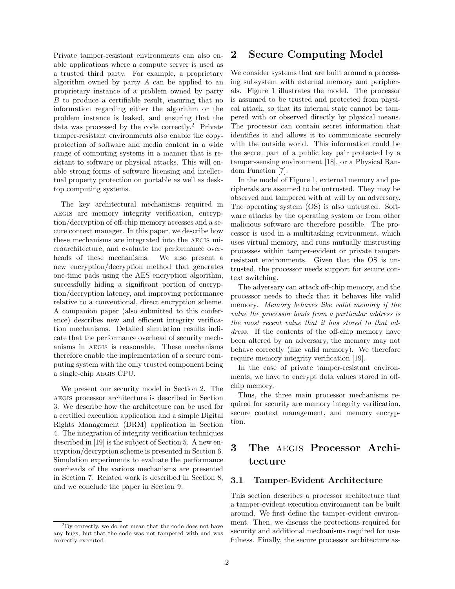Private tamper-resistant environments can also enable applications where a compute server is used as a trusted third party. For example, a proprietary algorithm owned by party  $A$  can be applied to an proprietary instance of a problem owned by party B to produce a certifiable result, ensuring that no information regarding either the algorithm or the problem instance is leaked, and ensuring that the data was processed by the code correctly. <sup>2</sup> Private tamper-resistant environments also enable the copyprotection of software and media content in a wide range of computing systems in a manner that is resistant to software or physical attacks. This will enable strong forms of software licensing and intellectual property protection on portable as well as desktop computing systems.

The key architectural mechanisms required in AEGIS are memory integrity verification, encryption/decryption of off-chip memory accesses and a secure context manager. In this paper, we describe how these mechanisms are integrated into the aegis microarchitecture, and evaluate the performance overheads of these mechanisms. We also present a new encryption/decryption method that generates one-time pads using the AES encryption algorithm, successfully hiding a significant portion of encryption/decryption latency, and improving performance relative to a conventional, direct encryption scheme. A companion paper (also submitted to this conference) describes new and efficient integrity verification mechanisms. Detailed simulation results indicate that the performance overhead of security mechanisms in aegis is reasonable. These mechanisms therefore enable the implementation of a secure computing system with the only trusted component being a single-chip aegis CPU.

We present our security model in Section 2. The AEGIS processor architecture is described in Section 3. We describe how the architecture can be used for a certified execution application and a simple Digital Rights Management (DRM) application in Section 4. The integration of integrity verification techniques described in [19] is the subject of Section 5. A new encryption/decryption scheme is presented in Section 6. Simulation experiments to evaluate the performance overheads of the various mechanisms are presented in Section 7. Related work is described in Section 8, and we conclude the paper in Section 9.

# 2 Secure Computing Model

We consider systems that are built around a processing subsystem with external memory and peripherals. Figure 1 illustrates the model. The processor is assumed to be trusted and protected from physical attack, so that its internal state cannot be tampered with or observed directly by physical means. The processor can contain secret information that identifies it and allows it to communicate securely with the outside world. This information could be the secret part of a public key pair protected by a tamper-sensing environment [18], or a Physical Random Function [7].

In the model of Figure 1, external memory and peripherals are assumed to be untrusted. They may be observed and tampered with at will by an adversary. The operating system (OS) is also untrusted. Software attacks by the operating system or from other malicious software are therefore possible. The processor is used in a multitasking environment, which uses virtual memory, and runs mutually mistrusting processes within tamper-evident or private tamperresistant environments. Given that the OS is untrusted, the processor needs support for secure context switching.

The adversary can attack off-chip memory, and the processor needs to check that it behaves like valid memory. Memory behaves like valid memory if the value the processor loads from a particular address is the most recent value that it has stored to that address. If the contents of the off-chip memory have been altered by an adversary, the memory may not behave correctly (like valid memory). We therefore require memory integrity verification [19].

In the case of private tamper-resistant environments, we have to encrypt data values stored in offchip memory.

Thus, the three main processor mechanisms required for security are memory integrity verification, secure context management, and memory encryption.

# 3 The aegis Processor Architecture

#### 3.1 Tamper-Evident Architecture

This section describes a processor architecture that a tamper-evident execution environment can be built around. We first define the tamper-evident environment. Then, we discuss the protections required for security and additional mechanisms required for usefulness. Finally, the secure processor architecture as-

<sup>2</sup>By correctly, we do not mean that the code does not have any bugs, but that the code was not tampered with and was correctly executed.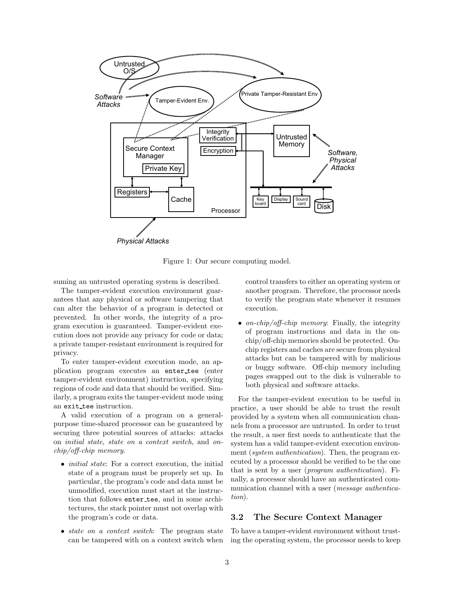

Figure 1: Our secure computing model.

suming an untrusted operating system is described.

The tamper-evident execution environment guarantees that any physical or software tampering that can alter the behavior of a program is detected or prevented. In other words, the integrity of a program execution is guaranteed. Tamper-evident execution does not provide any privacy for code or data; a private tamper-resistant environment is required for privacy.

To enter tamper-evident execution mode, an application program executes an enter tee (enter tamper-evident environment) instruction, specifying regions of code and data that should be verified. Similarly, a program exits the tamper-evident mode using an exit tee instruction.

A valid execution of a program on a generalpurpose time-shared processor can be guaranteed by securing three potential sources of attacks: attacks on initial state, state on a context switch, and onchip/off-chip memory.

- *initial state*: For a correct execution, the initial state of a program must be properly set up. In particular, the program's code and data must be unmodified, execution must start at the instruction that follows enter tee, and in some architectures, the stack pointer must not overlap with the program's code or data.
- *state on a context switch*: The program state can be tampered with on a context switch when

control transfers to either an operating system or another program. Therefore, the processor needs to verify the program state whenever it resumes execution.

• on-chip/off-chip memory: Finally, the integrity of program instructions and data in the onchip/off-chip memories should be protected. Onchip registers and caches are secure from physical attacks but can be tampered with by malicious or buggy software. Off-chip memory including pages swapped out to the disk is vulnerable to both physical and software attacks.

For the tamper-evident execution to be useful in practice, a user should be able to trust the result provided by a system when all communication channels from a processor are untrusted. In order to trust the result, a user first needs to authenticate that the system has a valid tamper-evident execution environment (*system authentication*). Then, the program executed by a processor should be verified to be the one that is sent by a user (program authentication). Finally, a processor should have an authenticated communication channel with a user (message authentication).

#### 3.2 The Secure Context Manager

To have a tamper-evident environment without trusting the operating system, the processor needs to keep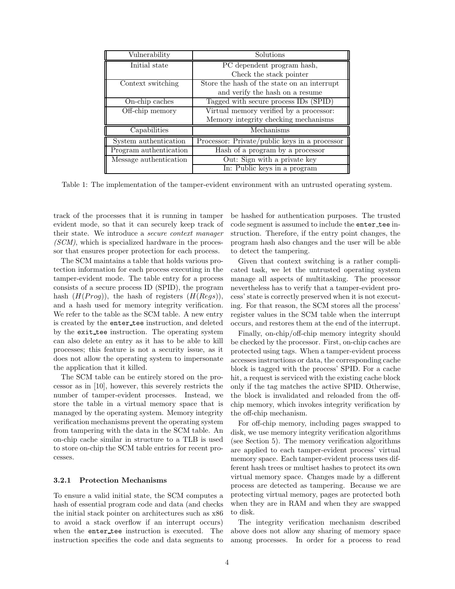| Vulnerability          | Solutions                                     |
|------------------------|-----------------------------------------------|
| Initial state          | PC dependent program hash,                    |
|                        | Check the stack pointer                       |
| Context switching      | Store the hash of the state on an interrupt   |
|                        | and verify the hash on a resume               |
| On-chip caches         | Tagged with secure process IDs (SPID)         |
| Off-chip memory        | Virtual memory verified by a processor:       |
|                        | Memory integrity checking mechanisms          |
| Capabilities           | Mechanisms                                    |
| System authentication  | Processor: Private/public keys in a processor |
| Program authentication | Hash of a program by a processor              |
| Message authentication | Out: Sign with a private key                  |
|                        | In: Public keys in a program                  |

Table 1: The implementation of the tamper-evident environment with an untrusted operating system.

track of the processes that it is running in tamper evident mode, so that it can securely keep track of their state. We introduce a secure context manager  $(SCM)$ , which is specialized hardware in the processor that ensures proper protection for each process.

The SCM maintains a table that holds various protection information for each process executing in the tamper-evident mode. The table entry for a process consists of a secure process ID (SPID), the program hash  $(H(Prog))$ , the hash of registers  $(H(Regs))$ , and a hash used for memory integrity verification. We refer to the table as the SCM table. A new entry is created by the enter tee instruction, and deleted by the exit tee instruction. The operating system can also delete an entry as it has to be able to kill processes; this feature is not a security issue, as it does not allow the operating system to impersonate the application that it killed.

The SCM table can be entirely stored on the processor as in [10], however, this severely restricts the number of tamper-evident processes. Instead, we store the table in a virtual memory space that is managed by the operating system. Memory integrity verification mechanisms prevent the operating system from tampering with the data in the SCM table. An on-chip cache similar in structure to a TLB is used to store on-chip the SCM table entries for recent processes.

#### 3.2.1 Protection Mechanisms

To ensure a valid initial state, the SCM computes a hash of essential program code and data (and checks the initial stack pointer on architectures such as x86 to avoid a stack overflow if an interrupt occurs) when the enter tee instruction is executed. The instruction specifies the code and data segments to be hashed for authentication purposes. The trusted code segment is assumed to include the enter tee instruction. Therefore, if the entry point changes, the program hash also changes and the user will be able to detect the tampering.

Given that context switching is a rather complicated task, we let the untrusted operating system manage all aspects of multitasking. The processor nevertheless has to verify that a tamper-evident process' state is correctly preserved when it is not executing. For that reason, the SCM stores all the process' register values in the SCM table when the interrupt occurs, and restores them at the end of the interrupt.

Finally, on-chip/off-chip memory integrity should be checked by the processor. First, on-chip caches are protected using tags. When a tamper-evident process accesses instructions or data, the corresponding cache block is tagged with the process' SPID. For a cache hit, a request is serviced with the existing cache block only if the tag matches the active SPID. Otherwise, the block is invalidated and reloaded from the offchip memory, which invokes integrity verification by the off-chip mechanism.

For off-chip memory, including pages swapped to disk, we use memory integrity verification algorithms (see Section 5). The memory verification algorithms are applied to each tamper-evident process' virtual memory space. Each tamper-evident process uses different hash trees or multiset hashes to protect its own virtual memory space. Changes made by a different process are detected as tampering. Because we are protecting virtual memory, pages are protected both when they are in RAM and when they are swapped to disk.

The integrity verification mechanism described above does not allow any sharing of memory space among processes. In order for a process to read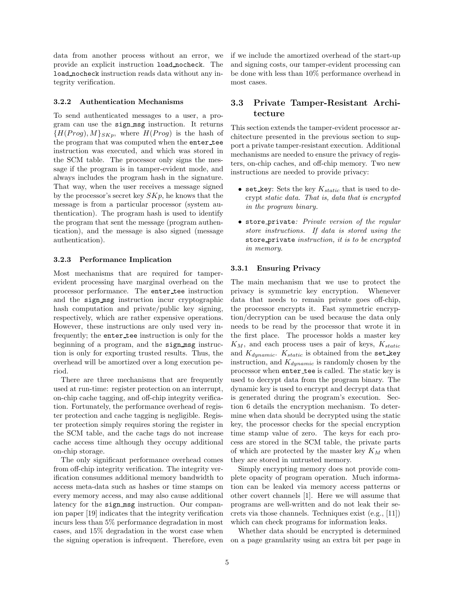data from another process without an error, we provide an explicit instruction load nocheck. The load nocheck instruction reads data without any integrity verification.

#### 3.2.2 Authentication Mechanisms

To send authenticated messages to a user, a program can use the sign msg instruction. It returns  ${H(Prog), M}_{SKp}$ , where  $H(Prog)$  is the hash of the program that was computed when the enter\_tee instruction was executed, and which was stored in the SCM table. The processor only signs the message if the program is in tamper-evident mode, and always includes the program hash in the signature. That way, when the user receives a message signed by the processor's secret key  $SKp$ , he knows that the message is from a particular processor (system authentication). The program hash is used to identify the program that sent the message (program authentication), and the message is also signed (message authentication).

#### 3.2.3 Performance Implication

Most mechanisms that are required for tamperevident processing have marginal overhead on the processor performance. The enter tee instruction and the sign msg instruction incur cryptographic hash computation and private/public key signing, respectively, which are rather expensive operations. However, these instructions are only used very infrequently; the enter tee instruction is only for the beginning of a program, and the sign msg instruction is only for exporting trusted results. Thus, the overhead will be amortized over a long execution period.

There are three mechanisms that are frequently used at run-time: register protection on an interrupt, on-chip cache tagging, and off-chip integrity verification. Fortunately, the performance overhead of register protection and cache tagging is negligible. Register protection simply requires storing the register in the SCM table, and the cache tags do not increase cache access time although they occupy additional on-chip storage.

The only significant performance overhead comes from off-chip integrity verification. The integrity verification consumes additional memory bandwidth to access meta-data such as hashes or time stamps on every memory access, and may also cause additional latency for the sign\_msg instruction. Our companion paper [19] indicates that the integrity verification incurs less than 5% performance degradation in most cases, and 15% degradation in the worst case when the signing operation is infrequent. Therefore, even if we include the amortized overhead of the start-up and signing costs, our tamper-evident processing can be done with less than 10% performance overhead in most cases.

#### 3.3 Private Tamper-Resistant Architecture

This section extends the tamper-evident processor architecture presented in the previous section to support a private tamper-resistant execution. Additional mechanisms are needed to ensure the privacy of registers, on-chip caches, and off-chip memory. Two new instructions are needed to provide privacy:

- set key: Sets the key  $K_{static}$  that is used to decrypt static data. That is, data that is encrypted in the program binary.
- store private: Private version of the regular store instructions. If data is stored using the store private instruction, it is to be encrypted in memory.

#### 3.3.1 Ensuring Privacy

The main mechanism that we use to protect the privacy is symmetric key encryption. Whenever data that needs to remain private goes off-chip, the processor encrypts it. Fast symmetric encryption/decryption can be used because the data only needs to be read by the processor that wrote it in the first place. The processor holds a master key  $K_M$ , and each process uses a pair of keys,  $K_{static}$ and  $K_{dynamic}$ .  $K_{static}$  is obtained from the set key instruction, and  $K_{dynamic}$  is randomly chosen by the processor when enter tee is called. The static key is used to decrypt data from the program binary. The dynamic key is used to encrypt and decrypt data that is generated during the program's execution. Section 6 details the encryption mechanism. To determine when data should be decrypted using the static key, the processor checks for the special encryption time stamp value of zero. The keys for each process are stored in the SCM table, the private parts of which are protected by the master key  $K_M$  when they are stored in untrusted memory.

Simply encrypting memory does not provide complete opacity of program operation. Much information can be leaked via memory access patterns or other covert channels [1]. Here we will assume that programs are well-written and do not leak their secrets via those channels. Techniques exist (e.g., [11]) which can check programs for information leaks.

Whether data should be encrypted is determined on a page granularity using an extra bit per page in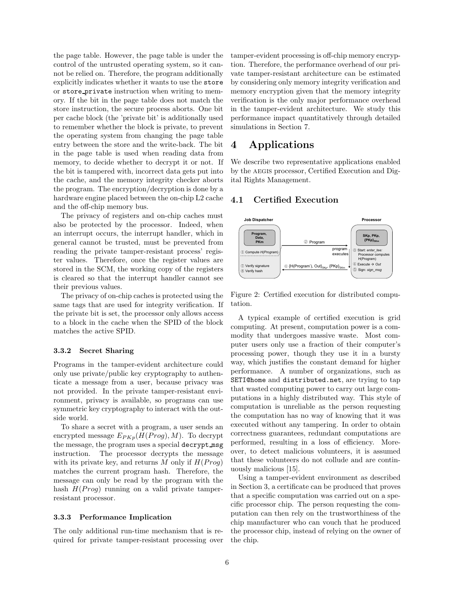the page table. However, the page table is under the control of the untrusted operating system, so it cannot be relied on. Therefore, the program additionally explicitly indicates whether it wants to use the store or store private instruction when writing to memory. If the bit in the page table does not match the store instruction, the secure process aborts. One bit per cache block (the 'private bit' is additionally used to remember whether the block is private, to prevent the operating system from changing the page table entry between the store and the write-back. The bit in the page table is used when reading data from memory, to decide whether to decrypt it or not. If the bit is tampered with, incorrect data gets put into the cache, and the memory integrity checker aborts the program. The encryption/decryption is done by a hardware engine placed between the on-chip L2 cache and the off-chip memory bus.

The privacy of registers and on-chip caches must also be protected by the processor. Indeed, when an interrupt occurs, the interrupt handler, which in general cannot be trusted, must be prevented from reading the private tamper-resistant process' register values. Therefore, once the register values are stored in the SCM, the working copy of the registers is cleared so that the interrupt handler cannot see their previous values.

The privacy of on-chip caches is protected using the same tags that are used for integrity verification. If the private bit is set, the processor only allows access to a block in the cache when the SPID of the block matches the active SPID.

#### 3.3.2 Secret Sharing

Programs in the tamper-evident architecture could only use private/public key cryptography to authenticate a message from a user, because privacy was not provided. In the private tamper-resistant environment, privacy is available, so programs can use symmetric key cryptography to interact with the outside world.

To share a secret with a program, a user sends an encrypted message  $E_{PKp}(H(Prog), M)$ . To decrypt the message, the program uses a special decrypt msg instruction. The processor decrypts the message with its private key, and returns M only if  $H(Prog)$ matches the current program hash. Therefore, the message can only be read by the program with the hash  $H(Prog)$  running on a valid private tamperresistant processor.

#### 3.3.3 Performance Implication

The only additional run-time mechanism that is required for private tamper-resistant processing over tamper-evident processing is off-chip memory encryption. Therefore, the performance overhead of our private tamper-resistant architecture can be estimated by considering only memory integrity verification and memory encryption given that the memory integrity verification is the only major performance overhead in the tamper-evident architecture. We study this performance impact quantitatively through detailed simulations in Section 7.

# 4 Applications

We describe two representative applications enabled by the aegis processor, Certified Execution and Digital Rights Management.

#### 4.1 Certified Execution



Figure 2: Certified execution for distributed computation.

A typical example of certified execution is grid computing. At present, computation power is a commodity that undergoes massive waste. Most computer users only use a fraction of their computer's processing power, though they use it in a bursty way, which justifies the constant demand for higher performance. A number of organizations, such as SETI@home and distributed.net, are trying to tap that wasted computing power to carry out large computations in a highly distributed way. This style of computation is unreliable as the person requesting the computation has no way of knowing that it was executed without any tampering. In order to obtain correctness guarantees, redundant computations are performed, resulting in a loss of efficiency. Moreover, to detect malicious volunteers, it is assumed that these volunteers do not collude and are continuously malicious [15].

Using a tamper-evident environment as described in Section 3, a certificate can be produced that proves that a specific computation was carried out on a specific processor chip. The person requesting the computation can then rely on the trustworthiness of the chip manufacturer who can vouch that he produced the processor chip, instead of relying on the owner of the chip.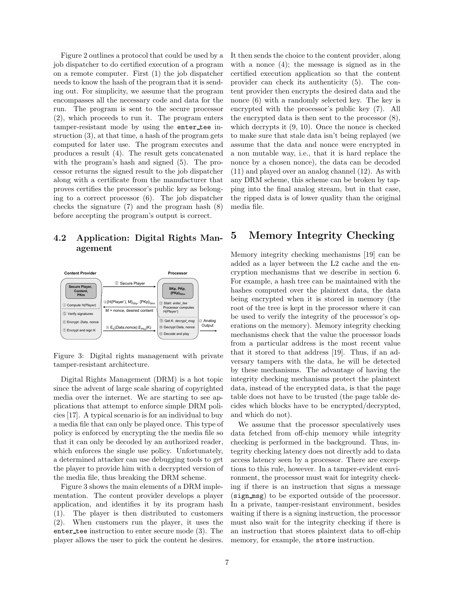Figure 2 outlines a protocol that could be used by a job dispatcher to do certified execution of a program on a remote computer. First (1) the job dispatcher needs to know the hash of the program that it is sending out. For simplicity, we assume that the program encompasses all the necessary code and data for the run. The program is sent to the secure processor (2), which proceeds to run it. The program enters tamper-resistant mode by using the enter tee instruction (3), at that time, a hash of the program gets computed for later use. The program executes and produces a result (4). The result gets concatenated with the program's hash and signed (5). The processor returns the signed result to the job dispatcher along with a certificate from the manufacturer that proves certifies the processor's public key as belonging to a correct processor (6). The job dispatcher checks the signature (7) and the program hash (8) before accepting the program's output is correct.

### 4.2 Application: Digital Rights Management



Figure 3: Digital rights management with private tamper-resistant architecture.

Digital Rights Management (DRM) is a hot topic since the advent of large scale sharing of copyrighted media over the internet. We are starting to see applications that attempt to enforce simple DRM policies [17]. A typical scenario is for an individual to buy a media file that can only be played once. This type of policy is enforced by encrypting the the media file so that it can only be decoded by an authorized reader, which enforces the single use policy. Unfortunately, a determined attacker can use debugging tools to get the player to provide him with a decrypted version of the media file, thus breaking the DRM scheme.

Figure 3 shows the main elements of a DRM implementation. The content provider develops a player application, and identifies it by its program hash (1). The player is then distributed to customers (2). When customers run the player, it uses the enter tee instruction to enter secure mode (3). The player allows the user to pick the content he desires. It then sends the choice to the content provider, along with a nonce (4); the message is signed as in the certified execution application so that the content provider can check its authenticity (5). The content provider then encrypts the desired data and the nonce (6) with a randomly selected key. The key is encrypted with the processor's public key (7). All the encrypted data is then sent to the processor (8), which decrypts it (9, 10). Once the nonce is checked to make sure that stale data isn't being replayed (we assume that the data and nonce were encrypted in a non mutable way, i.e., that it is hard replace the nonce by a chosen nonce), the data can be decoded (11) and played over an analog channel (12). As with any DRM scheme, this scheme can be broken by tapping into the final analog stream, but in that case, the ripped data is of lower quality than the original media file.

## 5 Memory Integrity Checking

 be used to verify the integrity of the processor's op-Memory integrity checking mechanisms [19] can be added as a layer between the L2 cache and the encryption mechanisms that we describe in section 6. For example, a hash tree can be maintained with the hashes computed over the plaintext data, the data being encrypted when it is stored in memory (the root of the tree is kept in the processor where it can erations on the memory). Memory integrity checking mechanisms check that the value the processor loads from a particular address is the most recent value that it stored to that address [19]. Thus, if an adversary tampers with the data, he will be detected by these mechanisms. The advantage of having the integrity checking mechanisms protect the plaintext data, instead of the encrypted data, is that the page table does not have to be trusted (the page table decides which blocks have to be encrypted/decrypted, and which do not).

We assume that the processor speculatively uses data fetched from off-chip memory while integrity checking is performed in the background. Thus, integrity checking latency does not directly add to data access latency seen by a processor. There are exceptions to this rule, however. In a tamper-evident environment, the processor must wait for integrity checking if there is an instruction that signs a message (sign msg) to be exported outside of the processor. In a private, tamper-resistant environment, besides waiting if there is a signing instruction, the processor must also wait for the integrity checking if there is an instruction that stores plaintext data to off-chip memory, for example, the store instruction.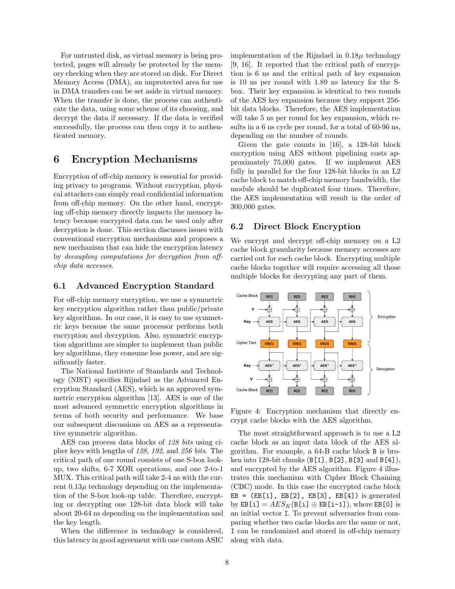For untrusted disk, as virtual memory is being protected, pages will already be protected by the memory checking when they are stored on disk. For Direct Memory Access (DMA), an unprotected area for use in DMA transfers can be set aside in virtual memory. When the transfer is done, the process can authenticate the data, using some scheme of its choosing, and decrypt the data if necessary. If the data is verified successfully, the process can then copy it to authenticated memory.

# 6 Encryption Mechanisms

Encryption of off-chip memory is essential for providing privacy to programs. Without encryption, physical attackers can simply read confidential information from off-chip memory. On the other hand, encrypting off-chip memory directly impacts the memory latency because encrypted data can be used only after decryption is done. This section discusses issues with conventional encryption mechanisms and proposes a new mechanism that can hide the encryption latency by decoupling computations for decryption from offchip data accesses.

#### 6.1 Advanced Encryption Standard

For off-chip memory encryption, we use a symmetric key encryption algorithm rather than public/private key algorithms. In our case, it is easy to use symmetric keys because the same processor performs both encryption and decryption. Also, symmetric encryption algorithms are simpler to implement than public key algorithms, they consume less power, and are significantly faster.

The National Institute of Standards and Technology (NIST) specifies Rijndael as the Advanced Encryption Standard (AES), which is an approved symmetric encryption algorithm [13]. AES is one of the most advanced symmetric encryption algorithms in terms of both security and performance. We base our subsequent discussions on AES as a representative symmetric algorithm.

AES can process data blocks of 128 bits using cipher keys with lengths of 128, 192, and 256 bits. The critical path of one round consists of one S-box lookup, two shifts, 6-7 XOR operations, and one 2-to-1 MUX. This critical path will take 2-4 ns with the current  $0.13\mu$  technology depending on the implementation of the S-box look-up table. Therefore, encrypting or decrypting one 128-bit data block will take about 20-64 ns depending on the implementation and the key length.

When the difference in technology is considered, this latency in good agreement with one custom ASIC

implementation of the Rijndael in  $0.18\mu$  technology [9, 16]. It reported that the critical path of encryption is 6 ns and the critical path of key expansion is 10 ns per round with 1.89 ns latency for the Sbox. Their key expansion is identical to two rounds of the AES key expansion because they support 256 bit data blocks. Therefore, the AES implementation will take 5 ns per round for key expansion, which results in a 6 ns cycle per round, for a total of 60-96 ns, depending on the number of rounds.

Given the gate counts in [16], a 128-bit block encryption using AES without pipelining costs approximately 75,000 gates. If we implement AES fully in parallel for the four 128-bit blocks in an L2 cache block to match off-chip memory bandwidth, the module should be duplicated four times. Therefore, the AES implementation will result in the order of 300,000 gates.

#### 6.2 Direct Block Encryption

We encrypt and decrypt off-chip memory on a L2 cache block granularity because memory accesses are carried out for each cache block. Encrypting multiple cache blocks together will require accessing all those multiple blocks for decrypting any part of them.



Figure 4: Encryption mechanism that directly encrypt cache blocks with the AES algorithm.

The most straightforward approach is to use a L2 cache block as an input data block of the AES algorithm. For example, a 64-B cache block B is broken into 128-bit chunks (B[1], B[2], B[3] and B[4]), and encrypted by the AES algorithm. Figure 4 illustrates this mechanism with Cipher Block Chaining (CBC) mode. In this case the encrypted cache block  $EB = (EB[1], EB[2], EB[3], EB[4])$  is generated by EB[i] =  $AES_K(B[i] \oplus EB[i-1])$ , where EB[0] is an initial vector I. To prevent adversaries from comparing whether two cache blocks are the same or not, I can be randomized and stored in off-chip memory along with data.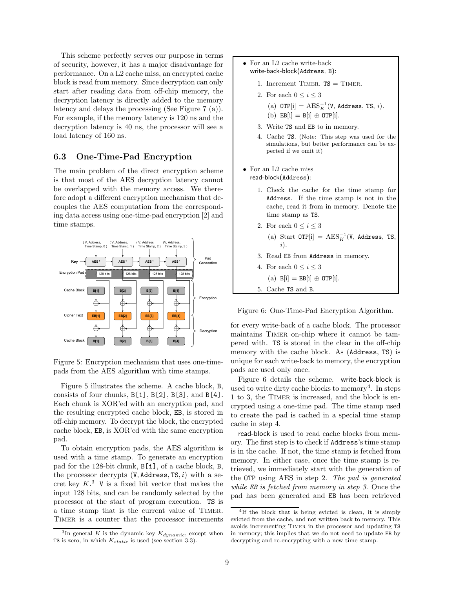This scheme perfectly serves our purpose in terms of security, however, it has a major disadvantage for performance. On a L2 cache miss, an encrypted cache block is read from memory. Since decryption can only start after reading data from off-chip memory, the decryption latency is directly added to the memory latency and delays the processing (See Figure 7 (a)). For example, if the memory latency is 120 ns and the decryption latency is 40 ns, the processor will see a load latency of 160 ns.

#### 6.3 One-Time-Pad Encryption

The main problem of the direct encryption scheme is that most of the AES decryption latency cannot be overlapped with the memory access. We therefore adopt a different encryption mechanism that decouples the AES computation from the corresponding data access using one-time-pad encryption [2] and time stamps.



Figure 5: Encryption mechanism that uses one-timepads from the AES algorithm with time stamps.

Figure 5 illustrates the scheme. A cache block, B, consists of four chunks, B[1], B[2], B[3], and B[4]. Each chunk is XOR'ed with an encryption pad, and the resulting encrypted cache block, EB, is stored in off-chip memory. To decrypt the block, the encrypted cache block, EB, is XOR'ed with the same encryption pad.

To obtain encryption pads, the AES algorithm is used with a time stamp. To generate an encryption pad for the 128-bit chunk, B[i], of a cache block, B, the processor decrypts  $(V, Address, TS, i)$  with a secret key  $K^3$  V is a fixed bit vector that makes the input 128 bits, and can be randomly selected by the processor at the start of program execution. TS is a time stamp that is the current value of Timer. Timer is a counter that the processor increments

- For an L2 cache write-back write-back-block(Address, B):
	- 1. Increment TIMER.  $TS = TIMER$ .
	- 2. For each  $0 \leq i \leq 3$ 
		- (a)  $\text{OTP}[i] = \text{AES}_K^{-1}(V, \text{Address}, \text{TS}, i).$
		- (b)  $EB[i] = B[i] \oplus OTP[i].$
	- 3. Write TS and EB to in memory.
	- 4. Cache TS. (Note: This step was used for the simulations, but better performance can be expected if we omit it)
- For an L2 cache miss read-block(Address):
	- 1. Check the cache for the time stamp for Address. If the time stamp is not in the cache, read it from in memory. Denote the time stamp as TS.
	- 2. For each  $0 \leq i \leq 3$ (a) Start  $\text{OTP}[i] = \text{AES}_K^{-1}(V, \text{ Address}, \text{TS},$ i).
	- 3. Read EB from Address in memory.
	- 4. For each  $0 \leq i \leq 3$

$$
\text{(a)} \ \ B[i] = EB[i] \ \oplus \ \texttt{OTP}[i].
$$

5. Cache TS and B.



for every write-back of a cache block. The processor maintains TIMER on-chip where it cannot be tampered with. TS is stored in the clear in the off-chip memory with the cache block. As (Address, TS) is unique for each write-back to memory, the encryption pads are used only once.

Figure 6 details the scheme. write-back-block is used to write dirty cache blocks to memory<sup>4</sup>. In steps 1 to 3, the Timer is increased, and the block is encrypted using a one-time pad. The time stamp used to create the pad is cached in a special time stamp cache in step 4.

read-block is used to read cache blocks from memory. The first step is to check if Address's time stamp is in the cache. If not, the time stamp is fetched from memory. In either case, once the time stamp is retrieved, we immediately start with the generation of the OTP using AES in step 2. The pad is generated while **EB** is fetched from memory in step 3. Once the pad has been generated and EB has been retrieved

<sup>&</sup>lt;sup>3</sup>In general K is the dynamic key  $K_{dynamic}$ , except when TS is zero, in which  $K_{static}$  is used (see section 3.3).

<sup>4</sup> If the block that is being evicted is clean, it is simply evicted from the cache, and not written back to memory. This avoids incrementing Timer in the processor and updating TS in memory; this implies that we do not need to update EB by decrypting and re-encrypting with a new time stamp.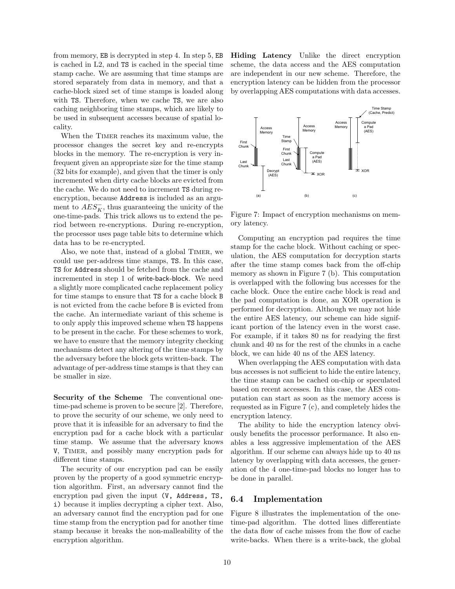from memory, EB is decrypted in step 4. In step 5, EB is cached in L2, and TS is cached in the special time stamp cache. We are assuming that time stamps are stored separately from data in memory, and that a cache-block sized set of time stamps is loaded along with TS. Therefore, when we cache TS, we are also caching neighboring time stamps, which are likely to be used in subsequent accesses because of spatial locality.

When the TIMER reaches its maximum value, the processor changes the secret key and re-encrypts blocks in the memory. The re-encryption is very infrequent given an appropriate size for the time stamp (32 bits for example), and given that the timer is only incremented when dirty cache blocks are evicted from the cache. We do not need to increment TS during reencryption, because Address is included as an argument to  $\widehat{AES}_K^-$ , thus guaranteeing the unicity of the one-time-pads. This trick allows us to extend the period between re-encryptions. During re-encryption, the processor uses page table bits to determine which data has to be re-encrypted.

Also, we note that, instead of a global Timer, we could use per-address time stamps, TS. In this case, TS for Address should be fetched from the cache and incremented in step 1 of write-back-block. We need a slightly more complicated cache replacement policy for time stamps to ensure that TS for a cache block B is not evicted from the cache before B is evicted from the cache. An intermediate variant of this scheme is to only apply this improved scheme when TS happens to be present in the cache. For these schemes to work, we have to ensure that the memory integrity checking mechanisms detect any altering of the time stamps by the adversary before the block gets written-back. The advantage of per-address time stamps is that they can be smaller in size.

Security of the Scheme The conventional onetime-pad scheme is proven to be secure [2]. Therefore, to prove the security of our scheme, we only need to prove that it is infeasible for an adversary to find the encryption pad for a cache block with a particular time stamp. We assume that the adversary knows V, Timer, and possibly many encryption pads for different time stamps.

The security of our encryption pad can be easily proven by the property of a good symmetric encryption algorithm. First, an adversary cannot find the encryption pad given the input (V, Address, TS, i) because it implies decrypting a cipher text. Also, an adversary cannot find the encryption pad for one time stamp from the encryption pad for another time stamp because it breaks the non-malleability of the encryption algorithm.

Hiding Latency Unlike the direct encryption scheme, the data access and the AES computation are independent in our new scheme. Therefore, the encryption latency can be hidden from the processor by overlapping AES computations with data accesses.



Figure 7: Impact of encryption mechanisms on memory latency.

Computing an encryption pad requires the time stamp for the cache block. Without caching or speculation, the AES computation for decryption starts after the time stamp comes back from the off-chip memory as shown in Figure 7 (b). This computation is overlapped with the following bus accesses for the cache block. Once the entire cache block is read and the pad computation is done, an XOR operation is performed for decryption. Although we may not hide the entire AES latency, our scheme can hide significant portion of the latency even in the worst case. For example, if it takes 80 ns for readying the first chunk and 40 ns for the rest of the chunks in a cache block, we can hide 40 ns of the AES latency.

When overlapping the AES computation with data bus accesses is not sufficient to hide the entire latency, the time stamp can be cached on-chip or speculated based on recent accesses. In this case, the AES computation can start as soon as the memory access is requested as in Figure 7 (c), and completely hides the encryption latency.

The ability to hide the encryption latency obviously benefits the processor performance. It also enables a less aggressive implementation of the AES algorithm. If our scheme can always hide up to 40 ns latency by overlapping with data accesses, the generation of the 4 one-time-pad blocks no longer has to be done in parallel.

#### 6.4 Implementation

Figure 8 illustrates the implementation of the onetime-pad algorithm. The dotted lines differentiate the data flow of cache misses from the flow of cache write-backs. When there is a write-back, the global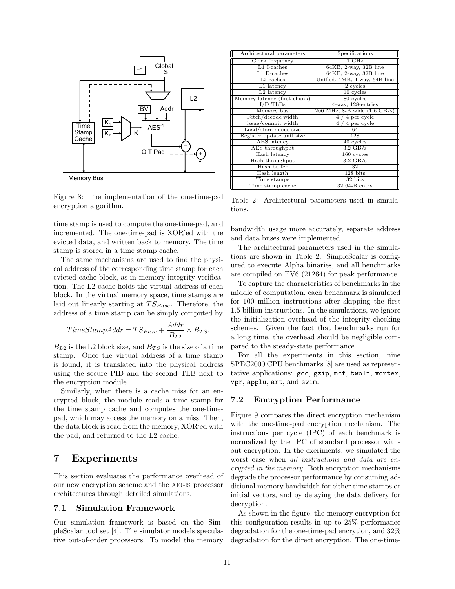

Figure 8: The implementation of the one-time-pad encryption algorithm.

time stamp is used to compute the one-time-pad, and incremented. The one-time-pad is XOR'ed with the evicted data, and written back to memory. The time stamp is stored in a time stamp cache.

The same mechanisms are used to find the physical address of the corresponding time stamp for each evicted cache block, as in memory integrity verification. The L2 cache holds the virtual address of each block. In the virtual memory space, time stamps are laid out linearly starting at  $TS_{Base}$ . Therefore, the address of a time stamp can be simply computed by

$$
TimeStampAddr = TS_{Base} + \frac{Addr}{B_{L2}} \times B_{TS}.
$$

 $B_{L2}$  is the L2 block size, and  $B_{TS}$  is the size of a time stamp. Once the virtual address of a time stamp is found, it is translated into the physical address using the secure PID and the second TLB next to the encryption module.

Similarly, when there is a cache miss for an encrypted block, the module reads a time stamp for the time stamp cache and computes the one-timepad, which may access the memory on a miss. Then, the data block is read from the memory, XOR'ed with the pad, and returned to the L2 cache.

# 7 Experiments

This section evaluates the performance overhead of our new encryption scheme and the aegis processor architectures through detailed simulations.

#### 7.1 Simulation Framework

Our simulation framework is based on the SimpleScalar tool set [4]. The simulator models speculative out-of-order processors. To model the memory

| Architectural parameters     | Specifications                         |
|------------------------------|----------------------------------------|
| Clock frequency              | $1$ GHz                                |
| L1 I-caches                  | $64KB$ , 2-way, $32B$ line             |
| L1 D-caches                  | 64KB, 2-way, 32B line                  |
| $L2$ caches                  | Unified, 1MB, 4-way, 64B line          |
| L1 latency                   | 2 cycles                               |
| $L2$ latency                 | 10 cycles                              |
| Memory latency (first chunk) | 80 cycles                              |
| $\rm I/D$ TLBs               | $4$ -way, $128$ -entries               |
| Memory bus                   | 200 MHz, 8-B wide $(1.6 \text{ GB/s})$ |
| Fetch/decode width           | $4/4$ per cycle                        |
| issue/commit width           | $4per$ cycle<br>4/                     |
| Load/store queue size        | 64                                     |
| Register update unit size    | 128                                    |
| AES latency                  | 40 cycles                              |
| AES throughput               | $3.2 \text{ GB/s}$                     |
| Hash latency                 | 160 cycles                             |
| Hash throughput              | $3.2 \text{ GB/s}$                     |
| Hash buffer                  | 32                                     |
| Hash length                  | $128 \text{ bits}$                     |
| Time stamps                  | 32 bits                                |
| Time stamp cache             | $3264-B$ entry                         |

Table 2: Architectural parameters used in simulations.

bandwidth usage more accurately, separate address and data buses were implemented.

The architectural parameters used in the simulations are shown in Table 2. SimpleScalar is configured to execute Alpha binaries, and all benchmarks are compiled on EV6 (21264) for peak performance.

To capture the characteristics of benchmarks in the middle of computation, each benchmark is simulated for 100 million instructions after skipping the first 1.5 billion instructions. In the simulations, we ignore the initialization overhead of the integrity checking schemes. Given the fact that benchmarks run for a long time, the overhead should be negligible compared to the steady-state performance.

For all the experiments in this section, nine SPEC2000 CPU benchmarks [8] are used as representative applications: gcc, gzip, mcf, twolf, vortex, vpr, applu, art, and swim.

#### 7.2 Encryption Performance

Figure 9 compares the direct encryption mechanism with the one-time-pad encryption mechanism. The instructions per cycle (IPC) of each benchmark is normalized by the IPC of standard processor without encryption. In the exeriments, we simulated the worst case when all instructions and data are encrypted in the memory. Both encryption mechanisms degrade the processor performance by consuming additional memory bandwidth for either time stamps or initial vectors, and by delaying the data delivery for decryption.

As shown in the figure, the memory encryption for this configuration results in up to 25% performance degradation for the one-time-pad encrytion, and 32% degradation for the direct encryption. The one-time-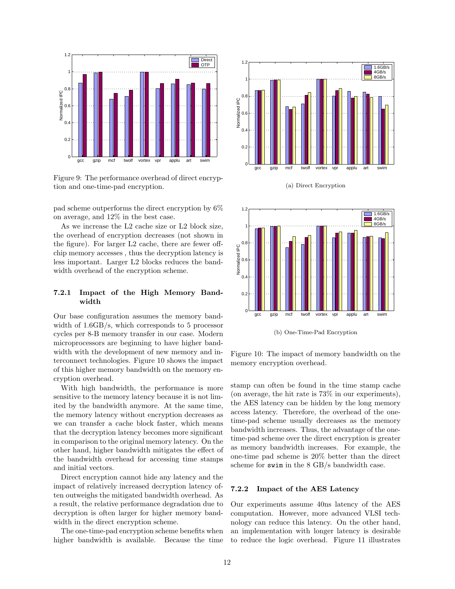

Figure 9: The performance overhead of direct encryption and one-time-pad encryption.

pad scheme outperforms the direct encryption by 6% on average, and 12% in the best case.

As we increase the L2 cache size or L2 block size, the overhead of encryption decreases (not shown in the figure). For larger L2 cache, there are fewer offchip memory accesses , thus the decryption latency is less important. Larger L2 blocks reduces the bandwidth overhead of the encryption scheme.

#### 7.2.1 Impact of the High Memory Bandwidth

Our base configuration assumes the memory bandwidth of 1.6GB/s, which corresponds to 5 processor cycles per 8-B memory transfer in our case. Modern microprocessors are beginning to have higher bandwidth with the development of new memory and interconnect technologies. Figure 10 shows the impact of this higher memory bandwidth on the memory encryption overhead.

With high bandwidth, the performance is more sensitive to the memory latency because it is not limited by the bandwidth anymore. At the same time, the memory latency without encryption decreases as we can transfer a cache block faster, which means that the decryption latency becomes more significant in comparison to the original memory latency. On the other hand, higher bandwidth mitigates the effect of the bandwidth overhead for accessing time stamps and initial vectors.

Direct encryption cannot hide any latency and the impact of relatively increased decryption latency often outweighs the mitigated bandwidth overhead. As a result, the relative performance degradation due to decryption is often larger for higher memory bandwidth in the direct encryption scheme.

The one-time-pad encryption scheme benefits when higher bandwidth is available. Because the time



(a) Direct Encryption



(b) One-Time-Pad Encryption

Figure 10: The impact of memory bandwidth on the memory encryption overhead.

stamp can often be found in the time stamp cache (on average, the hit rate is 73% in our experiments), the AES latency can be hidden by the long memory access latency. Therefore, the overhead of the onetime-pad scheme usually decreases as the memory bandwidth increases. Thus, the advantage of the onetime-pad scheme over the direct encryption is greater as memory bandwidth increases. For example, the one-time pad scheme is 20% better than the direct scheme for swim in the 8 GB/s bandwidth case.

#### 7.2.2 Impact of the AES Latency

Our experiments assume 40ns latency of the AES computation. However, more advanced VLSI technology can reduce this latency. On the other hand, an implementation with longer latency is desirable to reduce the logic overhead. Figure 11 illustrates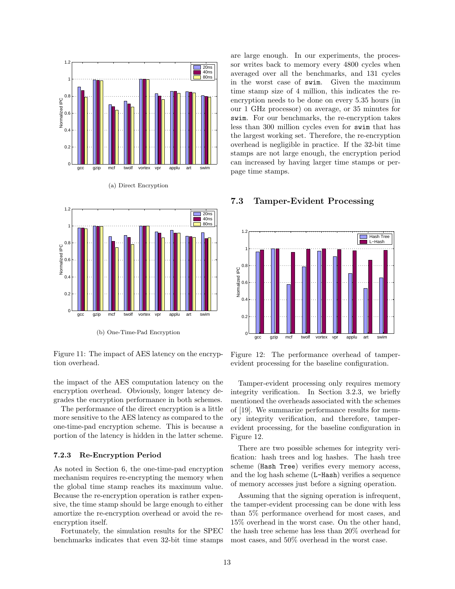





Figure 11: The impact of AES latency on the encryption overhead.

the impact of the AES computation latency on the encryption overhead. Obviously, longer latency degrades the encryption performance in both schemes.

The performance of the direct encryption is a little more sensitive to the AES latency as compared to the one-time-pad encryption scheme. This is because a portion of the latency is hidden in the latter scheme.

#### 7.2.3 Re-Encryption Period

As noted in Section 6, the one-time-pad encryption mechanism requires re-encrypting the memory when the global time stamp reaches its maximum value. Because the re-encryption operation is rather expensive, the time stamp should be large enough to either amortize the re-encryption overhead or avoid the reencryption itself.

Fortunately, the simulation results for the SPEC benchmarks indicates that even 32-bit time stamps are large enough. In our experiments, the processor writes back to memory every 4800 cycles when averaged over all the benchmarks, and 131 cycles in the worst case of swim. Given the maximum time stamp size of 4 million, this indicates the reencryption needs to be done on every 5.35 hours (in our 1 GHz processor) on average, or 35 minutes for swim. For our benchmarks, the re-encryption takes less than 300 million cycles even for swim that has the largest working set. Therefore, the re-encryption overhead is negligible in practice. If the 32-bit time stamps are not large enough, the encryption period can increased by having larger time stamps or perpage time stamps.

#### 7.3 Tamper-Evident Processing



Figure 12: The performance overhead of tamperevident processing for the baseline configuration.

Tamper-evident processing only requires memory integrity verification. In Section 3.2.3, we briefly mentioned the overheads associated with the schemes of [19]. We summarize performance results for memory integrity verification, and therefore, tamperevident processing, for the baseline configuration in Figure 12.

There are two possible schemes for integrity verification: hash trees and log hashes. The hash tree scheme (Hash Tree) verifies every memory access, and the log hash scheme (L-Hash) verifies a sequence of memory accesses just before a signing operation.

Assuming that the signing operation is infrequent, the tamper-evident processing can be done with less than 5% performance overhead for most cases, and 15% overhead in the worst case. On the other hand, the hash tree scheme has less than 20% overhead for most cases, and 50% overhead in the worst case.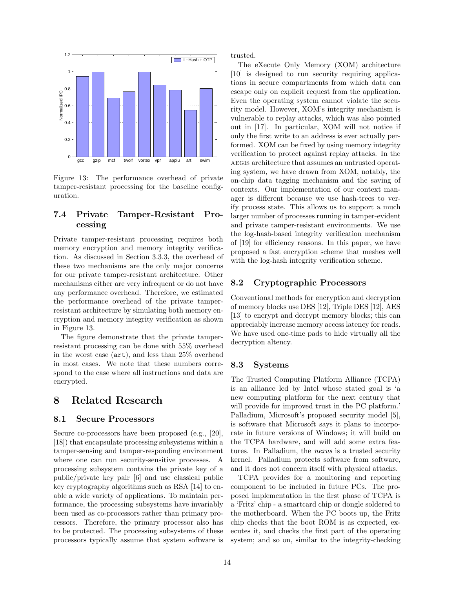

Figure 13: The performance overhead of private tamper-resistant processing for the baseline configuration.

#### 7.4 Private Tamper-Resistant Processing

Private tamper-resistant processing requires both memory encryption and memory integrity verification. As discussed in Section 3.3.3, the overhead of these two mechanisms are the only major concerns for our private tamper-resistant architecture. Other mechanisms either are very infrequent or do not have any performance overhead. Therefore, we estimated the performance overhead of the private tamperresistant architecture by simulating both memory encryption and memory integrity verification as shown in Figure 13.

The figure demonstrate that the private tamperresistant processing can be done with 55% overhead in the worst case (art), and less than 25% overhead in most cases. We note that these numbers correspond to the case where all instructions and data are encrypted.

# 8 Related Research

#### 8.1 Secure Processors

Secure co-processors have been proposed (e.g., [20], [18]) that encapsulate processing subsystems within a tamper-sensing and tamper-responding environment where one can run security-sensitive processes. A processing subsystem contains the private key of a public/private key pair [6] and use classical public key cryptography algorithms such as RSA [14] to enable a wide variety of applications. To maintain performance, the processing subsystems have invariably been used as co-processors rather than primary processors. Therefore, the primary processor also has to be protected. The processing subsystems of these processors typically assume that system software is trusted.

The eXecute Only Memory (XOM) architecture [10] is designed to run security requiring applications in secure compartments from which data can escape only on explicit request from the application. Even the operating system cannot violate the security model. However, XOM's integrity mechanism is vulnerable to replay attacks, which was also pointed out in [17]. In particular, XOM will not notice if only the first write to an address is ever actually performed. XOM can be fixed by using memory integrity verification to protect against replay attacks. In the AEGIS architecture that assumes an untrusted operating system, we have drawn from XOM, notably, the on-chip data tagging mechanism and the saving of contexts. Our implementation of our context manager is different because we use hash-trees to verify process state. This allows us to support a much larger number of processes running in tamper-evident and private tamper-resistant environments. We use the log-hash-based integrity verification mechanism of [19] for efficiency reasons. In this paper, we have proposed a fast encryption scheme that meshes well with the log-hash integrity verification scheme.

#### 8.2 Cryptographic Processors

Conventional methods for encryption and decryption of memory blocks use DES [12], Triple DES [12], AES [13] to encrypt and decrypt memory blocks; this can appreciably increase memory access latency for reads. We have used one-time pads to hide virtually all the decryption altency.

#### 8.3 Systems

The Trusted Computing Platform Alliance (TCPA) is an alliance led by Intel whose stated goal is 'a new computing platform for the next century that will provide for improved trust in the PC platform.' Palladium, Microsoft's proposed security model [5], is software that Microsoft says it plans to incorporate in future versions of Windows; it will build on the TCPA hardware, and will add some extra features. In Palladium, the nexus is a trusted security kernel. Palladium protects software from software, and it does not concern itself with physical attacks.

TCPA provides for a monitoring and reporting component to be included in future PCs. The proposed implementation in the first phase of TCPA is a 'Fritz' chip - a smartcard chip or dongle soldered to the motherboard. When the PC boots up, the Fritz chip checks that the boot ROM is as expected, executes it, and checks the first part of the operating system; and so on, similar to the integrity-checking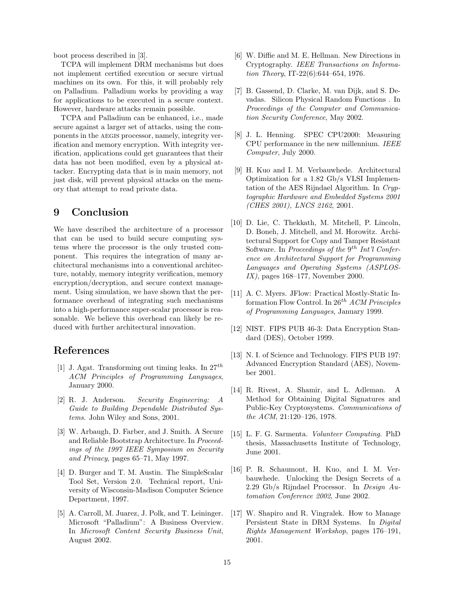boot process described in [3].

TCPA will implement DRM mechanisms but does not implement certified execution or secure virtual machines on its own. For this, it will probably rely on Palladium. Palladium works by providing a way for applications to be executed in a secure context. However, hardware attacks remain possible.

TCPA and Palladium can be enhanced, i.e., made secure against a larger set of attacks, using the components in the aegis processor, namely, integrity verification and memory encryption. With integrity verification, applications could get guarantees that their data has not been modified, even by a physical attacker. Encrypting data that is in main memory, not just disk, will prevent physical attacks on the memory that attempt to read private data.

# 9 Conclusion

We have described the architecture of a processor that can be used to build secure computing systems where the processor is the only trusted component. This requires the integration of many architectural mechanisms into a conventional architecture, notably, memory integrity verification, memory encryption/decryption, and secure context management. Using simulation, we have shown that the performance overhead of integrating such mechanisms into a high-performance super-scalar processor is reasonable. We believe this overhead can likely be reduced with further architectural innovation.

## References

- [1] J. Agat. Transforming out timing leaks. In  $27^{th}$ ACM Principles of Programming Languages, January 2000.
- [2] R. J. Anderson. Security Engineering: A Guide to Building Dependable Distributed Systems. John Wiley and Sons, 2001.
- [3] W. Arbaugh, D. Farber, and J. Smith. A Secure and Reliable Bootstrap Architecture. In Proceedings of the 1997 IEEE Symposium on Security and Privacy, pages 65–71, May 1997.
- [4] D. Burger and T. M. Austin. The SimpleScalar Tool Set, Version 2.0. Technical report, University of Wisconsin-Madison Computer Science Department, 1997.
- [5] A. Carroll, M. Juarez, J. Polk, and T. Leininger. Microsoft "Palladium": A Business Overview. In Microsoft Content Security Business Unit, August 2002.
- [6] W. Diffie and M. E. Hellman. New Directions in Cryptography. IEEE Transactions on Information Theory, IT-22(6):644–654, 1976.
- [7] B. Gassend, D. Clarke, M. van Dijk, and S. Devadas. Silicon Physical Random Functions . In Proceedings of the Computer and Communication Security Conference, May 2002.
- [8] J. L. Henning. SPEC CPU2000: Measuring CPU performance in the new millennium. IEEE Computer, July 2000.
- [9] H. Kuo and I. M. Verbauwhede. Architectural Optimization for a 1.82 Gb/s VLSI Implementation of the AES Rijndael Algorithm. In Cryptographic Hardware and Embedded Systems 2001 (CHES 2001), LNCS 2162, 2001.
- [10] D. Lie, C. Thekkath, M. Mitchell, P. Lincoln, D. Boneh, J. Mitchell, and M. Horowitz. Architectural Support for Copy and Tamper Resistant Software. In Proceedings of the  $9^{th}$  Int'l Conference on Architectural Support for Programming Languages and Operating Systems (ASPLOS-IX), pages 168–177, November 2000.
- [11] A. C. Myers. JFlow: Practical Mostly-Static Information Flow Control. In  $26^{th}$  ACM Principles of Programming Languages, January 1999.
- [12] NIST. FIPS PUB 46-3: Data Encryption Standard (DES), October 1999.
- [13] N. I. of Science and Technology. FIPS PUB 197: Advanced Encryption Standard (AES), November 2001.
- [14] R. Rivest, A. Shamir, and L. Adleman. A Method for Obtaining Digital Signatures and Public-Key Cryptosystems. Communications of the ACM, 21:120–126, 1978.
- [15] L. F. G. Sarmenta. Volunteer Computing. PhD thesis, Massachusetts Institute of Technology, June 2001.
- [16] P. R. Schaumont, H. Kuo, and I. M. Verbauwhede. Unlocking the Design Secrets of a 2.29 Gb/s Rijndael Processor. In Design Automation Conference 2002, June 2002.
- [17] W. Shapiro and R. Vingralek. How to Manage Persistent State in DRM Systems. In Digital Rights Management Workshop, pages 176–191, 2001.